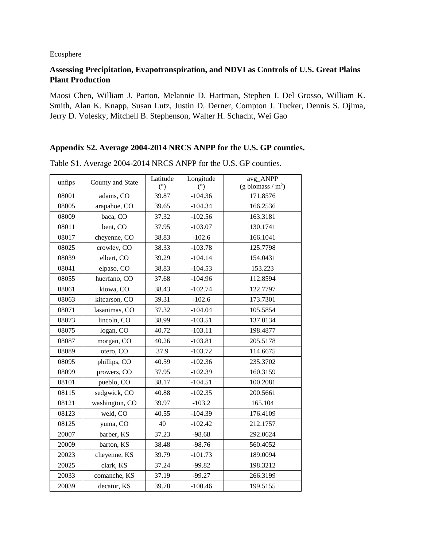## Ecosphere

## Assessing Precipitation, Evapotranspiration, and NDVI as Controls of U.S. Great Plains **Plant Production**

Maosi Chen, William J. Parton, Melannie D. Hartman, Stephen J. Del Grosso, William K. Smith, Alan K. Knapp, Susan Lutz, Justin D. Derner, Compton J. Tucker, Dennis S. Ojima, Jerry D. Volesky, Mitchell B. Stephenson, Walter H. Schacht, Wei Gao

## Appendix S2. Average 2004-2014 NRCS ANPP for the U.S. GP counties.

| unfips | County and State | Latitude | Longitude | avg_ANPP            |
|--------|------------------|----------|-----------|---------------------|
|        |                  | (9)      | (°)       | (g biomass / $m2$ ) |
| 08001  | adams, CO        | 39.87    | $-104.36$ | 171.8576            |
| 08005  | arapahoe, CO     | 39.65    | $-104.34$ | 166.2536            |
| 08009  | baca, CO         | 37.32    | $-102.56$ | 163.3181            |
| 08011  | bent, CO         | 37.95    | $-103.07$ | 130.1741            |
| 08017  | cheyenne, CO     | 38.83    | $-102.6$  | 166.1041            |
| 08025  | crowley, CO      | 38.33    | $-103.78$ | 125.7798            |
| 08039  | elbert, CO       | 39.29    | $-104.14$ | 154.0431            |
| 08041  | elpaso, CO       | 38.83    | $-104.53$ | 153.223             |
| 08055  | huerfano, CO     | 37.68    | $-104.96$ | 112.8594            |
| 08061  | kiowa, CO        | 38.43    | $-102.74$ | 122.7797            |
| 08063  | kitcarson, CO    | 39.31    | $-102.6$  | 173.7301            |
| 08071  | lasanimas, CO    | 37.32    | $-104.04$ | 105.5854            |
| 08073  | lincoln, CO      | 38.99    | $-103.51$ | 137.0134            |
| 08075  | logan, CO        | 40.72    | $-103.11$ | 198.4877            |
| 08087  | morgan, CO       | 40.26    | $-103.81$ | 205.5178            |
| 08089  | otero, CO        | 37.9     | $-103.72$ | 114.6675            |
| 08095  | phillips, CO     | 40.59    | $-102.36$ | 235.3702            |
| 08099  | prowers, CO      | 37.95    | $-102.39$ | 160.3159            |
| 08101  | pueblo, CO       | 38.17    | $-104.51$ | 100.2081            |
| 08115  | sedgwick, CO     | 40.88    | $-102.35$ | 200.5661            |
| 08121  | washington, CO   | 39.97    | $-103.2$  | 165.104             |
| 08123  | weld, CO         | 40.55    | $-104.39$ | 176.4109            |
| 08125  | yuma, CO         | 40       | $-102.42$ | 212.1757            |
| 20007  | barber, KS       | 37.23    | $-98.68$  | 292.0624            |
| 20009  | barton, KS       | 38.48    | $-98.76$  | 560.4052            |
| 20023  | cheyenne, KS     | 39.79    | $-101.73$ | 189.0094            |
| 20025  | clark, KS        | 37.24    | $-99.82$  | 198.3212            |
| 20033  | comanche, KS     | 37.19    | $-99.27$  | 266.3199            |
| 20039  | decatur. KS      | 39.78    | $-100.46$ | 199.5155            |

Table S1. Average 2004-2014 NRCS ANPP for the U.S. GP counties.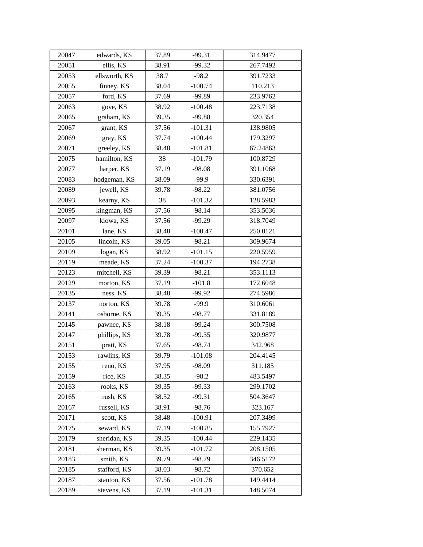| 20047 | edwards, KS   | 37.89 | $-99.31$  | 314.9477 |
|-------|---------------|-------|-----------|----------|
| 20051 | ellis, KS     | 38.91 | $-99.32$  | 267.7492 |
| 20053 | ellsworth, KS | 38.7  | $-98.2$   | 391.7233 |
| 20055 | finney, KS    | 38.04 | $-100.74$ | 110.213  |
| 20057 | ford, KS      | 37.69 | $-99.89$  | 233.9762 |
| 20063 | gove, KS      | 38.92 | $-100.48$ | 223.7138 |
| 20065 | graham, KS    | 39.35 | $-99.88$  | 320.354  |
| 20067 | grant, KS     | 37.56 | $-101.31$ | 138.9805 |
| 20069 | gray, KS      | 37.74 | $-100.44$ | 179.3297 |
| 20071 | greeley, KS   | 38.48 | $-101.81$ | 67.24863 |
| 20075 | hamilton, KS  | 38    | $-101.79$ | 100.8729 |
| 20077 | harper, KS    | 37.19 | $-98.08$  | 391.1068 |
| 20083 | hodgeman, KS  | 38.09 | $-99.9$   | 330.6391 |
| 20089 | jewell, KS    | 39.78 | $-98.22$  | 381.0756 |
| 20093 | kearny, KS    | 38    | $-101.32$ | 128.5983 |
| 20095 | kingman, KS   | 37.56 | $-98.14$  | 353.5036 |
| 20097 | kiowa, KS     | 37.56 | $-99.29$  | 318.7049 |
| 20101 | lane, KS      | 38.48 | $-100.47$ | 250.0121 |
| 20105 | lincoln, KS   | 39.05 | $-98.21$  | 309.9674 |
| 20109 | logan, KS     | 38.92 | $-101.15$ | 220.5959 |
| 20119 | meade, KS     | 37.24 | $-100.37$ | 194.2738 |
| 20123 | mitchell, KS  | 39.39 | $-98.21$  | 353.1113 |
| 20129 | morton, KS    | 37.19 | $-101.8$  | 172.6048 |
| 20135 | ness, KS      | 38.48 | $-99.92$  | 274.5986 |
| 20137 | norton, KS    | 39.78 | $-99.9$   | 310.6061 |
| 20141 | osborne, KS   | 39.35 | $-98.77$  | 331.8189 |
| 20145 | pawnee, KS    | 38.18 | $-99.24$  | 300.7508 |
| 20147 | phillips, KS  | 39.78 | $-99.35$  | 320.9877 |
| 20151 | pratt, KS     | 37.65 | $-98.74$  | 342.968  |
| 20153 | rawlins, KS   | 39.79 | $-101.08$ | 204.4145 |
| 20155 | reno, KS      | 37.95 | $-98.09$  | 311.185  |
| 20159 | rice, KS      | 38.35 | $-98.2$   | 483.5497 |
| 20163 | rooks, KS     | 39.35 | $-99.33$  | 299.1702 |
| 20165 | rush, KS      | 38.52 | $-99.31$  | 504.3647 |
| 20167 | russell, KS   | 38.91 | $-98.76$  | 323.167  |
| 20171 | scott, KS     | 38.48 | $-100.91$ | 207.3499 |
| 20175 | seward, KS    | 37.19 | $-100.85$ | 155.7927 |
| 20179 | sheridan, KS  | 39.35 | $-100.44$ | 229.1435 |
| 20181 | sherman, KS   | 39.35 | $-101.72$ | 208.1505 |
| 20183 | smith, KS     | 39.79 | $-98.79$  | 346.5172 |
| 20185 | stafford, KS  | 38.03 | $-98.72$  | 370.652  |
| 20187 | stanton, KS   | 37.56 | $-101.78$ | 149.4414 |
| 20189 | stevens, KS   | 37.19 | $-101.31$ | 148.5074 |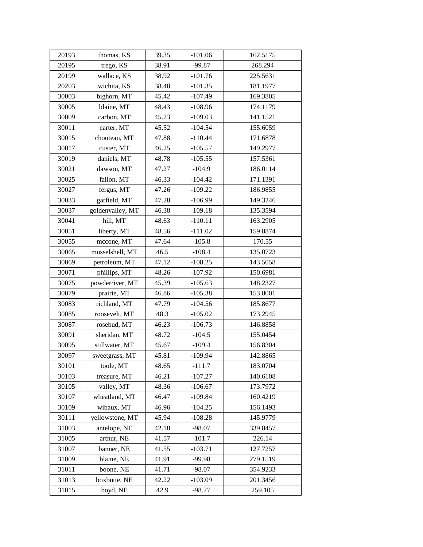| 20193 | thomas, KS       | 39.35 | $-101.06$ | 162.5175 |
|-------|------------------|-------|-----------|----------|
| 20195 | trego, KS        | 38.91 | $-99.87$  | 268.294  |
| 20199 | wallace, KS      | 38.92 | $-101.76$ | 225.5631 |
| 20203 | wichita, KS      | 38.48 | $-101.35$ | 181.1977 |
| 30003 | bighorn, MT      | 45.42 | $-107.49$ | 169.3805 |
| 30005 | blaine, MT       | 48.43 | $-108.96$ | 174.1179 |
| 30009 | carbon, MT       | 45.23 | $-109.03$ | 141.1521 |
| 30011 | carter, MT       | 45.52 | $-104.54$ | 155.6059 |
| 30015 | chouteau, MT     | 47.88 | $-110.44$ | 171.6878 |
| 30017 | custer, MT       | 46.25 | $-105.57$ | 149.2977 |
| 30019 | daniels, MT      | 48.78 | $-105.55$ | 157.5361 |
| 30021 | dawson, MT       | 47.27 | $-104.9$  | 186.0114 |
| 30025 | fallon, MT       | 46.33 | $-104.42$ | 171.1391 |
| 30027 | fergus, MT       | 47.26 | $-109.22$ | 186.9855 |
| 30033 | garfield, MT     | 47.28 | $-106.99$ | 149.3246 |
| 30037 | goldenvalley, MT | 46.38 | $-109.18$ | 135.3594 |
| 30041 | hill, MT         | 48.63 | $-110.11$ | 163.2905 |
| 30051 | liberty, MT      | 48.56 | $-111.02$ | 159.8874 |
| 30055 | mccone, MT       | 47.64 | $-105.8$  | 170.55   |
| 30065 | musselshell, MT  | 46.5  | $-108.4$  | 135.0723 |
| 30069 | petroleum, MT    | 47.12 | $-108.25$ | 143.5058 |
| 30071 | phillips, MT     | 48.26 | $-107.92$ | 150.6981 |
| 30075 | powderriver, MT  | 45.39 | $-105.63$ | 148.2327 |
| 30079 | prairie, MT      | 46.86 | $-105.38$ | 153.8001 |
| 30083 | richland, MT     | 47.79 | $-104.56$ | 185.8677 |
| 30085 | roosevelt, MT    | 48.3  | $-105.02$ | 173.2945 |
| 30087 | rosebud, MT      | 46.23 | $-106.73$ | 146.8858 |
| 30091 | sheridan, MT     | 48.72 | $-104.5$  | 155.0454 |
| 30095 | stillwater, MT   | 45.67 | $-109.4$  | 156.8304 |
| 30097 | sweetgrass, MT   | 45.81 | $-109.94$ | 142.8865 |
| 30101 | toole, MT        | 48.65 | $-111.7$  | 183.0704 |
| 30103 | treasure, MT     | 46.21 | $-107.27$ | 140.6108 |
| 30105 | valley, MT       | 48.36 | $-106.67$ | 173.7972 |
| 30107 | wheatland, MT    | 46.47 | $-109.84$ | 160.4219 |
| 30109 | wibaux, MT       | 46.96 | $-104.25$ | 156.1493 |
| 30111 | yellowstone, MT  | 45.94 | $-108.28$ | 145.9779 |
| 31003 | antelope, NE     | 42.18 | $-98.07$  | 339.8457 |
| 31005 | arthur, NE       | 41.57 | $-101.7$  | 226.14   |
| 31007 | banner, NE       | 41.55 | $-103.71$ | 127.7257 |
| 31009 | blaine, NE       | 41.91 | $-99.98$  | 279.1519 |
| 31011 | boone, NE        | 41.71 | $-98.07$  | 354.9233 |
| 31013 | boxbutte, NE     | 42.22 | $-103.09$ | 201.3456 |
| 31015 | boyd, NE         | 42.9  | $-98.77$  | 259.105  |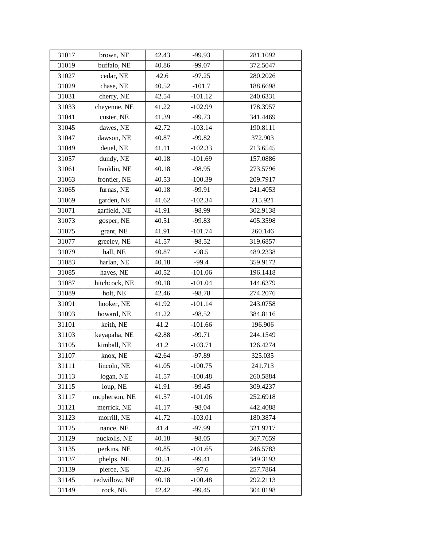| 31017 | brown, NE     | 42.43 | $-99.93$  | 281.1092 |
|-------|---------------|-------|-----------|----------|
| 31019 | buffalo, NE   | 40.86 | $-99.07$  | 372.5047 |
| 31027 | cedar, NE     | 42.6  | $-97.25$  | 280.2026 |
| 31029 | chase, NE     | 40.52 | $-101.7$  | 188.6698 |
| 31031 | cherry, NE    | 42.54 | $-101.12$ | 240.6331 |
| 31033 | cheyenne, NE  | 41.22 | $-102.99$ | 178.3957 |
| 31041 | custer, NE    | 41.39 | $-99.73$  | 341.4469 |
| 31045 | dawes, NE     | 42.72 | $-103.14$ | 190.8111 |
| 31047 | dawson, NE    | 40.87 | $-99.82$  | 372.903  |
| 31049 | deuel, NE     | 41.11 | $-102.33$ | 213.6545 |
| 31057 | dundy, NE     | 40.18 | $-101.69$ | 157.0886 |
| 31061 | franklin, NE  | 40.18 | $-98.95$  | 273.5796 |
| 31063 | frontier, NE  | 40.53 | $-100.39$ | 209.7917 |
| 31065 | furnas, NE    | 40.18 | $-99.91$  | 241.4053 |
| 31069 | garden, NE    | 41.62 | $-102.34$ | 215.921  |
| 31071 | garfield, NE  | 41.91 | $-98.99$  | 302.9138 |
| 31073 | gosper, NE    | 40.51 | $-99.83$  | 405.3598 |
| 31075 | grant, NE     | 41.91 | $-101.74$ | 260.146  |
| 31077 | greeley, NE   | 41.57 | $-98.52$  | 319.6857 |
| 31079 | hall, NE      | 40.87 | $-98.5$   | 489.2338 |
| 31083 | harlan, NE    | 40.18 | $-99.4$   | 359.9172 |
| 31085 | hayes, NE     | 40.52 | $-101.06$ | 196.1418 |
| 31087 | hitchcock, NE | 40.18 | $-101.04$ | 144.6379 |
| 31089 | holt, NE      | 42.46 | $-98.78$  | 274.2076 |
| 31091 | hooker, NE    | 41.92 | $-101.14$ | 243.0758 |
| 31093 | howard, NE    | 41.22 | $-98.52$  | 384.8116 |
| 31101 | keith, NE     | 41.2  | $-101.66$ | 196.906  |
| 31103 | keyapaha, NE  | 42.88 | $-99.71$  | 244.1549 |
| 31105 | kimball, NE   | 41.2  | $-103.71$ | 126.4274 |
| 31107 | knox, NE      | 42.64 | $-97.89$  | 325.035  |
| 31111 | lincoln, NE   | 41.05 | $-100.75$ | 241.713  |
| 31113 | logan, NE     | 41.57 | $-100.48$ | 260.5884 |
| 31115 | loup, NE      | 41.91 | $-99.45$  | 309.4237 |
| 31117 | mcpherson, NE | 41.57 | $-101.06$ | 252.6918 |
| 31121 | merrick, NE   | 41.17 | $-98.04$  | 442.4088 |
| 31123 | morrill, NE   | 41.72 | $-103.01$ | 180.3874 |
| 31125 | nance, NE     | 41.4  | $-97.99$  | 321.9217 |
| 31129 | nuckolls, NE  | 40.18 | $-98.05$  | 367.7659 |
| 31135 | perkins, NE   | 40.85 | $-101.65$ | 246.5783 |
| 31137 | phelps, NE    | 40.51 | $-99.41$  | 349.3193 |
| 31139 | pierce, NE    | 42.26 | $-97.6$   | 257.7864 |
| 31145 | redwillow, NE | 40.18 | $-100.48$ | 292.2113 |
| 31149 | rock, NE      | 42.42 | $-99.45$  | 304.0198 |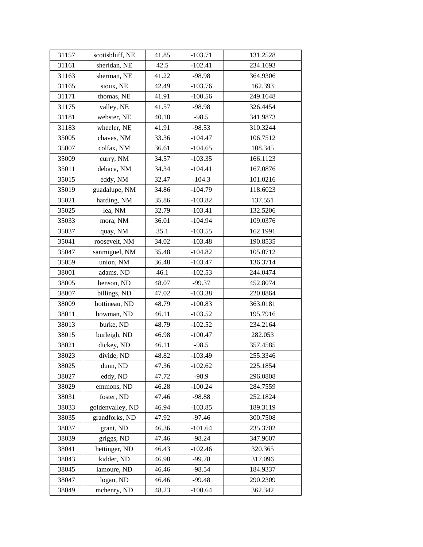| 31157 | scottsbluff, NE  | 41.85 | $-103.71$ | 131.2528 |
|-------|------------------|-------|-----------|----------|
| 31161 | sheridan, NE     | 42.5  | $-102.41$ | 234.1693 |
| 31163 | sherman, NE      | 41.22 | $-98.98$  | 364.9306 |
| 31165 | sioux, NE        | 42.49 | $-103.76$ | 162.393  |
| 31171 | thomas, NE       | 41.91 | $-100.56$ | 249.1648 |
| 31175 | valley, NE       | 41.57 | $-98.98$  | 326.4454 |
| 31181 | webster, NE      | 40.18 | $-98.5$   | 341.9873 |
| 31183 | wheeler, NE      | 41.91 | $-98.53$  | 310.3244 |
| 35005 | chaves, NM       | 33.36 | $-104.47$ | 106.7512 |
| 35007 | colfax, NM       | 36.61 | $-104.65$ | 108.345  |
| 35009 | curry, NM        | 34.57 | $-103.35$ | 166.1123 |
| 35011 | debaca, NM       | 34.34 | $-104.41$ | 167.0876 |
| 35015 | eddy, NM         | 32.47 | $-104.3$  | 101.0216 |
| 35019 | guadalupe, NM    | 34.86 | $-104.79$ | 118.6023 |
| 35021 | harding, NM      | 35.86 | $-103.82$ | 137.551  |
| 35025 | lea, NM          | 32.79 | $-103.41$ | 132.5206 |
| 35033 | mora, NM         | 36.01 | $-104.94$ | 109.0376 |
| 35037 | quay, NM         | 35.1  | $-103.55$ | 162.1991 |
| 35041 | roosevelt, NM    | 34.02 | $-103.48$ | 190.8535 |
| 35047 | sanmiguel, NM    | 35.48 | $-104.82$ | 105.0712 |
| 35059 | union, NM        | 36.48 | $-103.47$ | 136.3714 |
| 38001 | adams, ND        | 46.1  | $-102.53$ | 244.0474 |
| 38005 | benson, ND       | 48.07 | $-99.37$  | 452.8074 |
| 38007 | billings, ND     | 47.02 | $-103.38$ | 220.0864 |
| 38009 | bottineau, ND    | 48.79 | $-100.83$ | 363.0181 |
| 38011 | bowman, ND       | 46.11 | $-103.52$ | 195.7916 |
| 38013 | burke, ND        | 48.79 | $-102.52$ | 234.2164 |
| 38015 | burleigh, ND     | 46.98 | $-100.47$ | 282.053  |
| 38021 | dickey, ND       | 46.11 | $-98.5$   | 357.4585 |
| 38023 | divide, ND       | 48.82 | $-103.49$ | 255.3346 |
| 38025 | dunn, ND         | 47.36 | $-102.62$ | 225.1854 |
| 38027 | eddy, ND         | 47.72 | $-98.9$   | 296.0808 |
| 38029 | emmons, ND       | 46.28 | $-100.24$ | 284.7559 |
| 38031 | foster, ND       | 47.46 | $-98.88$  | 252.1824 |
| 38033 | goldenvalley, ND | 46.94 | $-103.85$ | 189.3119 |
| 38035 | grandforks, ND   | 47.92 | $-97.46$  | 300.7508 |
| 38037 | grant, ND        | 46.36 | $-101.64$ | 235.3702 |
| 38039 | griggs, ND       | 47.46 | $-98.24$  | 347.9607 |
| 38041 | hettinger, ND    | 46.43 | $-102.46$ | 320.365  |
| 38043 | kidder, ND       | 46.98 | $-99.78$  | 317.096  |
| 38045 | lamoure, ND      | 46.46 | $-98.54$  | 184.9337 |
| 38047 | logan, ND        | 46.46 | $-99.48$  | 290.2309 |
| 38049 | mchenry, ND      | 48.23 | $-100.64$ | 362.342  |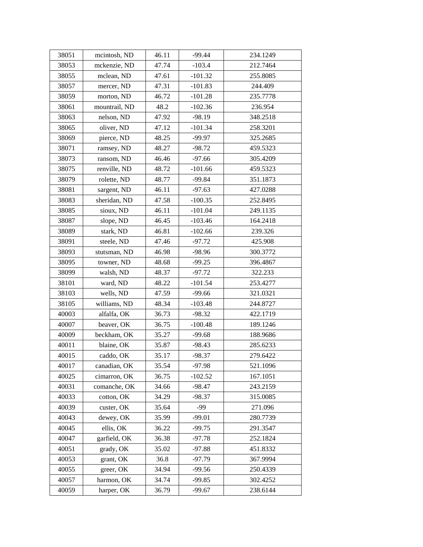| 38051 | mcintosh, ND  | 46.11 | $-99.44$  | 234.1249 |
|-------|---------------|-------|-----------|----------|
| 38053 | mckenzie, ND  | 47.74 | $-103.4$  | 212.7464 |
| 38055 | mclean, ND    | 47.61 | $-101.32$ | 255.8085 |
| 38057 | mercer, ND    | 47.31 | $-101.83$ | 244.409  |
| 38059 | morton, ND    | 46.72 | $-101.28$ | 235.7778 |
| 38061 | mountrail, ND | 48.2  | $-102.36$ | 236.954  |
| 38063 | nelson, ND    | 47.92 | $-98.19$  | 348.2518 |
| 38065 | oliver, ND    | 47.12 | $-101.34$ | 258.3201 |
| 38069 | pierce, ND    | 48.25 | $-99.97$  | 325.2685 |
| 38071 | ramsey, ND    | 48.27 | $-98.72$  | 459.5323 |
| 38073 | ransom, ND    | 46.46 | $-97.66$  | 305.4209 |
| 38075 | renville, ND  | 48.72 | $-101.66$ | 459.5323 |
| 38079 | rolette, ND   | 48.77 | $-99.84$  | 351.1873 |
| 38081 | sargent, ND   | 46.11 | $-97.63$  | 427.0288 |
| 38083 | sheridan, ND  | 47.58 | $-100.35$ | 252.8495 |
| 38085 | sioux, ND     | 46.11 | $-101.04$ | 249.1135 |
| 38087 | slope, ND     | 46.45 | $-103.46$ | 164.2418 |
| 38089 | stark, ND     | 46.81 | $-102.66$ | 239.326  |
| 38091 | steele, ND    | 47.46 | $-97.72$  | 425.908  |
| 38093 | stutsman, ND  | 46.98 | $-98.96$  | 300.3772 |
| 38095 | towner, ND    | 48.68 | $-99.25$  | 396.4867 |
| 38099 | walsh, ND     | 48.37 | $-97.72$  | 322.233  |
| 38101 | ward, ND      | 48.22 | $-101.54$ | 253.4277 |
| 38103 | wells, ND     | 47.59 | $-99.66$  | 321.0321 |
| 38105 | williams, ND  | 48.34 | $-103.48$ | 244.8727 |
| 40003 | alfalfa, OK   | 36.73 | $-98.32$  | 422.1719 |
| 40007 | beaver, OK    | 36.75 | $-100.48$ | 189.1246 |
| 40009 | beckham, OK   | 35.27 | $-99.68$  | 188.9686 |
| 40011 | blaine, OK    | 35.87 | $-98.43$  | 285.6233 |
| 40015 | caddo, OK     | 35.17 | $-98.37$  | 279.6422 |
| 40017 | canadian, OK  | 35.54 | $-97.98$  | 521.1096 |
| 40025 | cimarron, OK  | 36.75 | $-102.52$ | 167.1051 |
| 40031 | comanche, OK  | 34.66 | $-98.47$  | 243.2159 |
| 40033 | cotton, OK    | 34.29 | $-98.37$  | 315.0085 |
| 40039 | custer, OK    | 35.64 | $-99$     | 271.096  |
| 40043 | dewey, OK     | 35.99 | $-99.01$  | 280.7739 |
| 40045 | ellis, OK     | 36.22 | $-99.75$  | 291.3547 |
| 40047 | garfield, OK  | 36.38 | $-97.78$  | 252.1824 |
| 40051 | grady, OK     | 35.02 | $-97.88$  | 451.8332 |
| 40053 | grant, OK     | 36.8  | $-97.79$  | 367.9994 |
| 40055 | greer, OK     | 34.94 | $-99.56$  | 250.4339 |
| 40057 | harmon, OK    | 34.74 | $-99.85$  | 302.4252 |
| 40059 | harper, OK    | 36.79 | $-99.67$  | 238.6144 |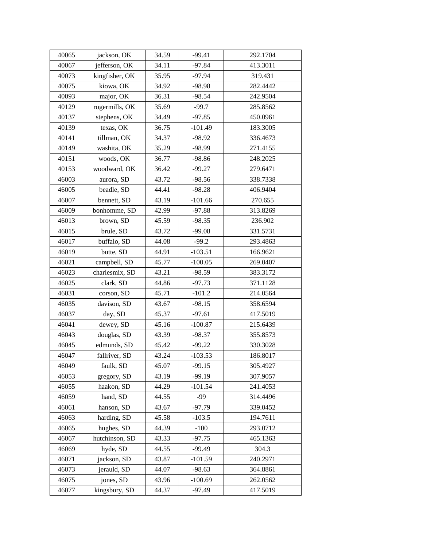| 40065 | jackson, OK    | 34.59 | $-99.41$  | 292.1704 |
|-------|----------------|-------|-----------|----------|
| 40067 | jefferson, OK  | 34.11 | $-97.84$  | 413.3011 |
| 40073 | kingfisher, OK | 35.95 | $-97.94$  | 319.431  |
| 40075 | kiowa, OK      | 34.92 | $-98.98$  | 282.4442 |
| 40093 | major, OK      | 36.31 | $-98.54$  | 242.9504 |
| 40129 | rogermills, OK | 35.69 | $-99.7$   | 285.8562 |
| 40137 | stephens, OK   | 34.49 | $-97.85$  | 450.0961 |
| 40139 | texas, OK      | 36.75 | $-101.49$ | 183.3005 |
| 40141 | tillman, OK    | 34.37 | $-98.92$  | 336.4673 |
| 40149 | washita, OK    | 35.29 | $-98.99$  | 271.4155 |
| 40151 | woods, OK      | 36.77 | $-98.86$  | 248.2025 |
| 40153 | woodward, OK   | 36.42 | $-99.27$  | 279.6471 |
| 46003 | aurora, SD     | 43.72 | $-98.56$  | 338.7338 |
| 46005 | beadle, SD     | 44.41 | $-98.28$  | 406.9404 |
| 46007 | bennett, SD    | 43.19 | $-101.66$ | 270.655  |
| 46009 | bonhomme, SD   | 42.99 | $-97.88$  | 313.8269 |
| 46013 | brown, SD      | 45.59 | $-98.35$  | 236.902  |
| 46015 | brule, SD      | 43.72 | $-99.08$  | 331.5731 |
| 46017 | buffalo, SD    | 44.08 | $-99.2$   | 293.4863 |
| 46019 | butte, SD      | 44.91 | $-103.51$ | 166.9621 |
| 46021 | campbell, SD   | 45.77 | $-100.05$ | 269.0407 |
| 46023 | charlesmix, SD | 43.21 | $-98.59$  | 383.3172 |
| 46025 | clark, SD      | 44.86 | $-97.73$  | 371.1128 |
| 46031 | corson, SD     | 45.71 | $-101.2$  | 214.0564 |
| 46035 | davison, SD    | 43.67 | $-98.15$  | 358.6594 |
| 46037 | day, SD        | 45.37 | $-97.61$  | 417.5019 |
| 46041 | dewey, SD      | 45.16 | $-100.87$ | 215.6439 |
| 46043 | douglas, SD    | 43.39 | $-98.37$  | 355.8573 |
| 46045 | edmunds, SD    | 45.42 | $-99.22$  | 330.3028 |
| 46047 | fallriver, SD  | 43.24 | $-103.53$ | 186.8017 |
| 46049 | faulk, SD      | 45.07 | $-99.15$  | 305.4927 |
| 46053 | gregory, SD    | 43.19 | $-99.19$  | 307.9057 |
| 46055 | haakon, SD     | 44.29 | $-101.54$ | 241.4053 |
| 46059 | hand, SD       | 44.55 | -99       | 314.4496 |
| 46061 | hanson, SD     | 43.67 | $-97.79$  | 339.0452 |
| 46063 | harding, SD    | 45.58 | $-103.5$  | 194.7611 |
| 46065 | hughes, SD     | 44.39 | $-100$    | 293.0712 |
| 46067 | hutchinson, SD | 43.33 | $-97.75$  | 465.1363 |
| 46069 | hyde, SD       | 44.55 | $-99.49$  | 304.3    |
| 46071 | jackson, SD    | 43.87 | $-101.59$ | 240.2971 |
| 46073 | jerauld, SD    | 44.07 | $-98.63$  | 364.8861 |
| 46075 | jones, SD      | 43.96 | $-100.69$ | 262.0562 |
| 46077 | kingsbury, SD  | 44.37 | $-97.49$  | 417.5019 |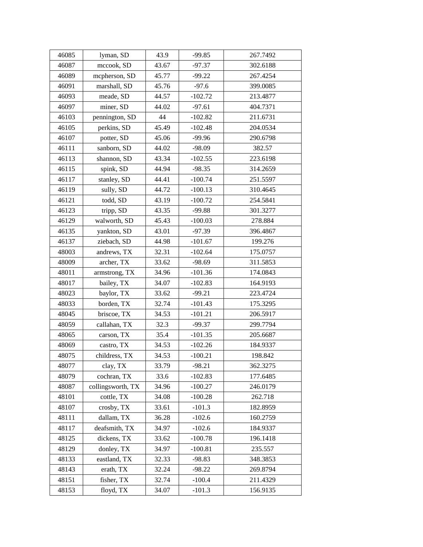| 46085 | lyman, SD         | 43.9  | $-99.85$  | 267.7492 |
|-------|-------------------|-------|-----------|----------|
| 46087 | mccook, SD        | 43.67 | $-97.37$  | 302.6188 |
| 46089 | mcpherson, SD     | 45.77 | $-99.22$  | 267.4254 |
| 46091 | marshall, SD      | 45.76 | $-97.6$   | 399.0085 |
| 46093 | meade, SD         | 44.57 | $-102.72$ | 213.4877 |
| 46097 | miner, SD         | 44.02 | $-97.61$  | 404.7371 |
| 46103 | pennington, SD    | 44    | $-102.82$ | 211.6731 |
| 46105 | perkins, SD       | 45.49 | $-102.48$ | 204.0534 |
| 46107 | potter, SD        | 45.06 | $-99.96$  | 290.6798 |
| 46111 | sanborn, SD       | 44.02 | $-98.09$  | 382.57   |
| 46113 | shannon, SD       | 43.34 | $-102.55$ | 223.6198 |
| 46115 | spink, SD         | 44.94 | $-98.35$  | 314.2659 |
| 46117 | stanley, SD       | 44.41 | $-100.74$ | 251.5597 |
| 46119 | sully, SD         | 44.72 | $-100.13$ | 310.4645 |
| 46121 | todd, SD          | 43.19 | $-100.72$ | 254.5841 |
| 46123 | tripp, SD         | 43.35 | $-99.88$  | 301.3277 |
| 46129 | walworth, SD      | 45.43 | $-100.03$ | 278.884  |
| 46135 | yankton, SD       | 43.01 | $-97.39$  | 396.4867 |
| 46137 | ziebach, SD       | 44.98 | $-101.67$ | 199.276  |
| 48003 | andrews, TX       | 32.31 | $-102.64$ | 175.0757 |
| 48009 | archer, TX        | 33.62 | $-98.69$  | 311.5853 |
| 48011 | armstrong, TX     | 34.96 | $-101.36$ | 174.0843 |
| 48017 | bailey, TX        | 34.07 | $-102.83$ | 164.9193 |
| 48023 | baylor, TX        | 33.62 | $-99.21$  | 223.4724 |
| 48033 | borden, TX        | 32.74 | $-101.43$ | 175.3295 |
| 48045 | briscoe, TX       | 34.53 | $-101.21$ | 206.5917 |
| 48059 | callahan, TX      | 32.3  | $-99.37$  | 299.7794 |
| 48065 | carson, TX        | 35.4  | $-101.35$ | 205.6687 |
| 48069 | castro, TX        | 34.53 | $-102.26$ | 184.9337 |
| 48075 | childress, TX     | 34.53 | $-100.21$ | 198.842  |
| 48077 | clay, TX          | 33.79 | $-98.21$  | 362.3275 |
| 48079 | cochran, TX       | 33.6  | $-102.83$ | 177.6485 |
| 48087 | collingsworth, TX | 34.96 | $-100.27$ | 246.0179 |
| 48101 | cottle, TX        | 34.08 | $-100.28$ | 262.718  |
| 48107 | crosby, TX        | 33.61 | $-101.3$  | 182.8959 |
| 48111 | dallam, TX        | 36.28 | $-102.6$  | 160.2759 |
| 48117 | deafsmith, TX     | 34.97 | $-102.6$  | 184.9337 |
| 48125 | dickens, TX       | 33.62 | $-100.78$ | 196.1418 |
| 48129 | donley, TX        | 34.97 | $-100.81$ | 235.557  |
| 48133 | eastland, TX      | 32.33 | $-98.83$  | 348.3853 |
| 48143 | erath, TX         | 32.24 | $-98.22$  | 269.8794 |
| 48151 | fisher, TX        | 32.74 | $-100.4$  | 211.4329 |
| 48153 | floyd, TX         | 34.07 | $-101.3$  | 156.9135 |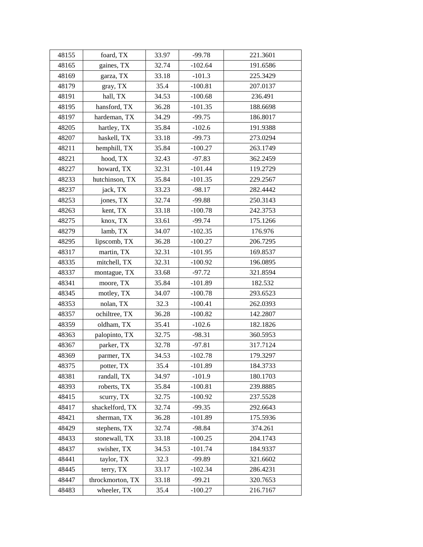| 48155 | foard, TX        | 33.97 | $-99.78$  | 221.3601 |
|-------|------------------|-------|-----------|----------|
| 48165 | gaines, TX       | 32.74 | $-102.64$ | 191.6586 |
| 48169 | garza, TX        | 33.18 | $-101.3$  | 225.3429 |
| 48179 | gray, TX         | 35.4  | $-100.81$ | 207.0137 |
| 48191 | hall, TX         | 34.53 | $-100.68$ | 236.491  |
| 48195 | hansford, TX     | 36.28 | $-101.35$ | 188.6698 |
| 48197 | hardeman, TX     | 34.29 | $-99.75$  | 186.8017 |
| 48205 | hartley, TX      | 35.84 | $-102.6$  | 191.9388 |
| 48207 | haskell, TX      | 33.18 | $-99.73$  | 273.0294 |
| 48211 | hemphill, TX     | 35.84 | $-100.27$ | 263.1749 |
| 48221 | hood, TX         | 32.43 | $-97.83$  | 362.2459 |
| 48227 | howard, TX       | 32.31 | $-101.44$ | 119.2729 |
| 48233 | hutchinson, TX   | 35.84 | $-101.35$ | 229.2567 |
| 48237 | jack, TX         | 33.23 | $-98.17$  | 282.4442 |
| 48253 | jones, TX        | 32.74 | $-99.88$  | 250.3143 |
| 48263 | kent, TX         | 33.18 | $-100.78$ | 242.3753 |
| 48275 | knox, TX         | 33.61 | $-99.74$  | 175.1266 |
| 48279 | lamb, TX         | 34.07 | $-102.35$ | 176.976  |
| 48295 | lipscomb, TX     | 36.28 | $-100.27$ | 206.7295 |
| 48317 | martin, TX       | 32.31 | $-101.95$ | 169.8537 |
| 48335 | mitchell, TX     | 32.31 | $-100.92$ | 196.0895 |
| 48337 | montague, TX     | 33.68 | $-97.72$  | 321.8594 |
| 48341 | moore, TX        | 35.84 | $-101.89$ | 182.532  |
| 48345 | motley, TX       | 34.07 | $-100.78$ | 293.6523 |
| 48353 | nolan, TX        | 32.3  | $-100.41$ | 262.0393 |
| 48357 | ochiltree, TX    | 36.28 | $-100.82$ | 142.2807 |
| 48359 | oldham, TX       | 35.41 | $-102.6$  | 182.1826 |
| 48363 | palopinto, TX    | 32.75 | $-98.31$  | 360.5953 |
| 48367 | parker, TX       | 32.78 | $-97.81$  | 317.7124 |
| 48369 | parmer, TX       | 34.53 | $-102.78$ | 179.3297 |
| 48375 | potter, TX       | 35.4  | $-101.89$ | 184.3733 |
| 48381 | randall, TX      | 34.97 | $-101.9$  | 180.1703 |
| 48393 | roberts, TX      | 35.84 | $-100.81$ | 239.8885 |
| 48415 | scurry, TX       | 32.75 | $-100.92$ | 237.5528 |
| 48417 | shackelford, TX  | 32.74 | $-99.35$  | 292.6643 |
| 48421 | sherman, TX      | 36.28 | $-101.89$ | 175.5936 |
| 48429 | stephens, TX     | 32.74 | $-98.84$  | 374.261  |
| 48433 | stonewall, TX    | 33.18 | $-100.25$ | 204.1743 |
| 48437 | swisher, TX      | 34.53 | $-101.74$ | 184.9337 |
| 48441 | taylor, TX       | 32.3  | $-99.89$  | 321.6602 |
| 48445 | terry, TX        | 33.17 | $-102.34$ | 286.4231 |
| 48447 | throckmorton, TX | 33.18 | $-99.21$  | 320.7653 |
| 48483 | wheeler, TX      | 35.4  | $-100.27$ | 216.7167 |